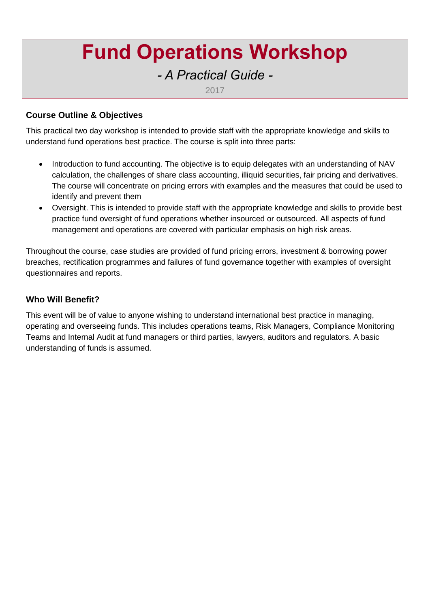# **Fund Operations Workshop**

## *- A Practical Guide -*

2017

#### **Course Outline & Objectives**

This practical two day workshop is intended to provide staff with the appropriate knowledge and skills to understand fund operations best practice. The course is split into three parts:

- Introduction to fund accounting. The objective is to equip delegates with an understanding of NAV calculation, the challenges of share class accounting, illiquid securities, fair pricing and derivatives. The course will concentrate on pricing errors with examples and the measures that could be used to identify and prevent them
- Oversight. This is intended to provide staff with the appropriate knowledge and skills to provide best practice fund oversight of fund operations whether insourced or outsourced. All aspects of fund management and operations are covered with particular emphasis on high risk areas.

Throughout the course, case studies are provided of fund pricing errors, investment & borrowing power breaches, rectification programmes and failures of fund governance together with examples of oversight questionnaires and reports.

#### **Who Will Benefit?**

This event will be of value to anyone wishing to understand international best practice in managing, operating and overseeing funds. This includes operations teams, Risk Managers, Compliance Monitoring Teams and Internal Audit at fund managers or third parties, lawyers, auditors and regulators. A basic understanding of funds is assumed.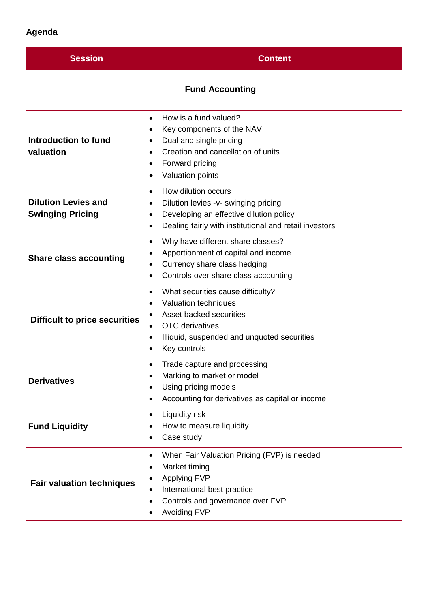### **Agenda**

| <b>Session</b>                                        | <b>Content</b>                                                                                                                                                                                                                                      |  |
|-------------------------------------------------------|-----------------------------------------------------------------------------------------------------------------------------------------------------------------------------------------------------------------------------------------------------|--|
| <b>Fund Accounting</b>                                |                                                                                                                                                                                                                                                     |  |
| Introduction to fund<br>valuation                     | How is a fund valued?<br>$\bullet$<br>Key components of the NAV<br>$\bullet$<br>Dual and single pricing<br>$\bullet$<br>Creation and cancellation of units<br>$\bullet$<br>Forward pricing<br>$\bullet$<br>Valuation points<br>$\bullet$            |  |
| <b>Dilution Levies and</b><br><b>Swinging Pricing</b> | How dilution occurs<br>$\bullet$<br>Dilution levies -v- swinging pricing<br>$\bullet$<br>Developing an effective dilution policy<br>$\bullet$<br>Dealing fairly with institutional and retail investors<br>$\bullet$                                |  |
| <b>Share class accounting</b>                         | Why have different share classes?<br>$\bullet$<br>Apportionment of capital and income<br>$\bullet$<br>Currency share class hedging<br>$\bullet$<br>Controls over share class accounting<br>$\bullet$                                                |  |
| <b>Difficult to price securities</b>                  | What securities cause difficulty?<br>$\bullet$<br>Valuation techniques<br>$\bullet$<br>Asset backed securities<br>٠<br><b>OTC</b> derivatives<br>$\bullet$<br>Illiquid, suspended and unquoted securities<br>$\bullet$<br>Key controls<br>$\bullet$ |  |
| <b>Derivatives</b>                                    | Trade capture and processing<br>$\bullet$<br>Marking to market or model<br>٠<br>Using pricing models<br>$\bullet$<br>Accounting for derivatives as capital or income<br>$\bullet$                                                                   |  |
| <b>Fund Liquidity</b>                                 | Liquidity risk<br>$\bullet$<br>How to measure liquidity<br>٠<br>Case study<br>$\bullet$                                                                                                                                                             |  |
| <b>Fair valuation techniques</b>                      | When Fair Valuation Pricing (FVP) is needed<br>$\bullet$<br>Market timing<br>٠<br><b>Applying FVP</b><br>٠<br>International best practice<br>$\bullet$<br>Controls and governance over FVP<br>$\bullet$<br><b>Avoiding FVP</b>                      |  |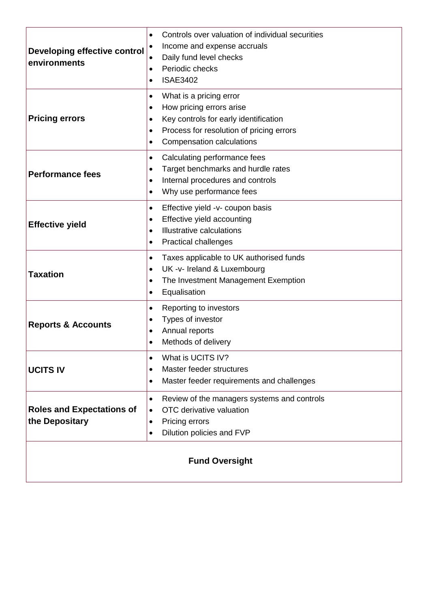| Developing effective control<br>environments       | Controls over valuation of individual securities<br>$\bullet$<br>Income and expense accruals<br>Daily fund level checks<br>Periodic checks<br>$\bullet$<br><b>ISAE3402</b><br>$\bullet$                                               |  |
|----------------------------------------------------|---------------------------------------------------------------------------------------------------------------------------------------------------------------------------------------------------------------------------------------|--|
| <b>Pricing errors</b>                              | What is a pricing error<br>٠<br>How pricing errors arise<br>$\bullet$<br>Key controls for early identification<br>$\bullet$<br>Process for resolution of pricing errors<br>$\bullet$<br><b>Compensation calculations</b><br>$\bullet$ |  |
| <b>Performance fees</b>                            | Calculating performance fees<br>$\bullet$<br>Target benchmarks and hurdle rates<br>$\bullet$<br>Internal procedures and controls<br>$\bullet$<br>Why use performance fees<br>$\bullet$                                                |  |
| <b>Effective yield</b>                             | Effective yield -v- coupon basis<br>$\bullet$<br>Effective yield accounting<br>$\bullet$<br>Illustrative calculations<br>$\bullet$<br><b>Practical challenges</b><br>$\bullet$                                                        |  |
| <b>Taxation</b>                                    | Taxes applicable to UK authorised funds<br>$\bullet$<br>UK -v- Ireland & Luxembourg<br>$\bullet$<br>The Investment Management Exemption<br>$\bullet$<br>Equalisation<br>$\bullet$                                                     |  |
| <b>Reports &amp; Accounts</b>                      | Reporting to investors<br>$\bullet$<br>Types of investor<br>$\bullet$<br>Annual reports<br>$\bullet$<br>Methods of delivery<br>$\bullet$                                                                                              |  |
| <b>UCITS IV</b>                                    | What is UCITS IV?<br>$\bullet$<br>Master feeder structures<br>$\bullet$<br>Master feeder requirements and challenges<br>$\bullet$                                                                                                     |  |
| <b>Roles and Expectations of</b><br>the Depositary | Review of the managers systems and controls<br>$\bullet$<br>OTC derivative valuation<br>$\bullet$<br>Pricing errors<br>٠<br>Dilution policies and FVP<br>$\bullet$                                                                    |  |
| <b>Fund Oversight</b>                              |                                                                                                                                                                                                                                       |  |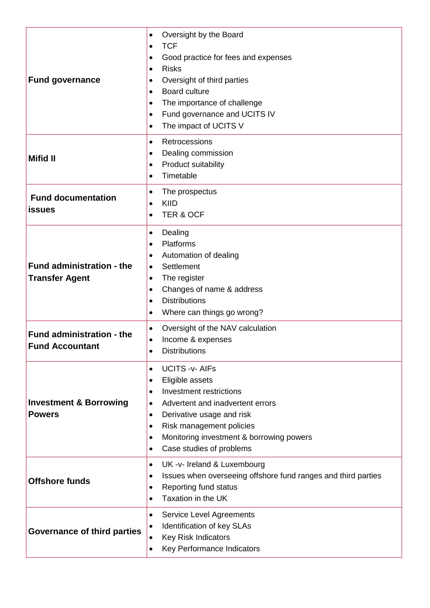| <b>Fund governance</b>                                     | Oversight by the Board<br>$\bullet$<br><b>TCF</b><br>$\bullet$<br>Good practice for fees and expenses<br>$\bullet$<br><b>Risks</b><br>$\bullet$<br>Oversight of third parties<br>٠<br><b>Board culture</b><br>$\bullet$<br>The importance of challenge<br>$\bullet$<br>Fund governance and UCITS IV<br>$\bullet$<br>The impact of UCITS V<br>$\bullet$  |
|------------------------------------------------------------|---------------------------------------------------------------------------------------------------------------------------------------------------------------------------------------------------------------------------------------------------------------------------------------------------------------------------------------------------------|
| <b>Mifid II</b>                                            | Retrocessions<br>$\bullet$<br>Dealing commission<br>٠<br>Product suitability<br>$\bullet$<br>Timetable<br>$\bullet$                                                                                                                                                                                                                                     |
| <b>Fund documentation</b><br><b>issues</b>                 | The prospectus<br>$\bullet$<br>KIID<br>$\bullet$<br><b>TER &amp; OCF</b><br>$\bullet$                                                                                                                                                                                                                                                                   |
| <b>Fund administration - the</b><br><b>Transfer Agent</b>  | Dealing<br>$\bullet$<br>Platforms<br>$\bullet$<br>Automation of dealing<br>$\bullet$<br>Settlement<br>$\bullet$<br>The register<br>$\bullet$<br>Changes of name & address<br>$\bullet$<br><b>Distributions</b><br>$\bullet$<br>Where can things go wrong?<br>$\bullet$                                                                                  |
| <b>Fund administration - the</b><br><b>Fund Accountant</b> | Oversight of the NAV calculation<br>$\bullet$<br>Income & expenses<br>$\bullet$<br><b>Distributions</b>                                                                                                                                                                                                                                                 |
| <b>Investment &amp; Borrowing</b><br><b>Powers</b>         | <b>UCITS -v- AIFs</b><br>$\bullet$<br>Eligible assets<br>$\bullet$<br><b>Investment restrictions</b><br>$\bullet$<br>Advertent and inadvertent errors<br>$\bullet$<br>Derivative usage and risk<br>$\bullet$<br>Risk management policies<br>$\bullet$<br>Monitoring investment & borrowing powers<br>$\bullet$<br>Case studies of problems<br>$\bullet$ |
| <b>Offshore funds</b>                                      | UK -v- Ireland & Luxembourg<br>$\bullet$<br>Issues when overseeing offshore fund ranges and third parties<br>$\bullet$<br>Reporting fund status<br>$\bullet$<br>Taxation in the UK<br>$\bullet$                                                                                                                                                         |
| <b>Governance of third parties</b>                         | <b>Service Level Agreements</b><br>$\bullet$<br>Identification of key SLAs<br>$\bullet$<br>Key Risk Indicators<br>$\bullet$<br>Key Performance Indicators<br>$\bullet$                                                                                                                                                                                  |